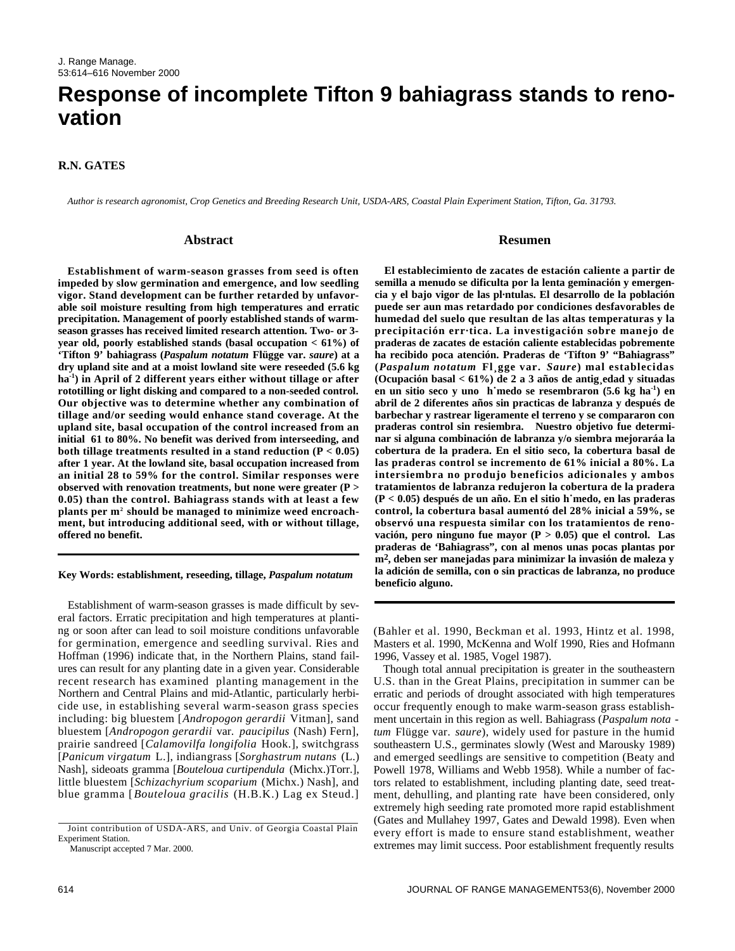# **Response of incomplete Tifton 9 bahiagrass stands to renovation**

## **R.N. GATES**

*Author is research agronomist, Crop Genetics and Breeding Research Unit, USDA-ARS, Coastal Plain Experiment Station, Tifton, Ga. 31793.* 

#### **Abstract**

**Establishment of warm-season grasses from seed is often impeded by slow germination and emergence, and low seedling vigor. Stand development can be further retarded by unfavorable soil moisture resulting from high temperatures and erratic precipitation. Management of poorly established stands of warmseason grasses has received limited research attention. Two- or 3 year old, poorly established stands (basal occupation < 61%) of 'Tifton 9' bahiagrass (***Paspalum notatum* **Flügge var.** *saure***) at a dry upland site and at a moist lowland site were reseeded (5.6 kg** ha<sup>-1</sup>) in April of 2 different years either without tillage or after **rototilling or light disking and compared to a non-seeded control. Our objective was to determine whether any combination of tillage and/or seeding would enhance stand coverage. At the upland site, basal occupation of the control increased from an initial 61 to 80%. No benefit was derived from interseeding, and both tillage treatments resulted in a stand reduction (P < 0.05) after 1 year. At the lowland site, basal occupation increased from an initial 28 to 59% for the control. Similar responses were observed with renovation treatments, but none were greater (P > 0.05) than the control. Bahiagrass stands with at least a few plants per m<sup>2</sup> should be managed to minimize weed encroachment, but introducing additional seed, with or without tillage, offered no benefit.**

#### **Key Words: establishment, reseeding, tillage,** *Paspalum notatum*

Establishment of warm-season grasses is made difficult by several factors. Erratic precipitation and high temperatures at planting or soon after can lead to soil moisture conditions unfavorable for germination, emergence and seedling survival. Ries and Hoffman (1996) indicate that, in the Northern Plains, stand failures can result for any planting date in a given year. Considerable recent research has examined planting management in the Northern and Central Plains and mid-Atlantic, particularly herbicide use, in establishing several warm-season grass species including: big bluestem [*Andropogon gerardii* Vitman], sand bluestem [Andropogon gerardii var. paucipilus (Nash) Fern], prairie sandreed [*Calamovilfa longifolia* Hook.], switchgrass [*Panicum virgatum* L.], indiangrass [*Sorghastrum nutans* ( L . ) Nash], sideoats gramma [*Bouteloua curtipendula* (Michx.)Torr.], little bluestem [*Schizachyrium scoparium* (Michx.) Nash], and blue gramma [*Bouteloua gracilis* (H.B.K.) Lag ex Steud.]

Manuscript accepted 7 Mar. 2000.

## **Resumen**

**El establecimiento de zacates de estación caliente a partir de semilla a menudo se dificulta por la lenta geminación y emergencia y el bajo vigor de las pl·ntulas. El desarrollo de la población puede ser aun mas retardado por condiciones desfavorables de humedad del suelo que resultan de las altas temperaturas y la precipitación err·tica. La investigación sobre manejo de praderas de zacates de estación caliente establecidas pobremente ha recibido poca atención. Praderas de 'Tifton 9' "Bahiagrass" (***Paspalum notatum* **Fl¸gge var.** *S a u r e***) mal establecidas (Ocupación basal < 61%) de 2 a 3 años de antig¸edad y situadas en un sitio seco y uno h˙medo se resembraron (5.6 kg ha-1) en abril de 2 diferentes años sin practicas de labranza y después de barbechar y rastrear ligeramente el terreno y se compararon con praderas control sin resiembra. Nuestro objetivo fue determinar si alguna combinación de labranza y/o siembra mejoraráa la cobertura de la pradera. En el sitio seco, la cobertura basal de las praderas control se incremento de 61% inicial a 80%. La intersiembra no produjo beneficios adicionales y ambos tratamientos de labranza redujeron la cobertura de la pradera (P < 0.05) después de un año. En el sitio h˙medo, en las praderas control, la cobertura basal aumentó del 28% inicial a 59%, se observó una respuesta similar con los tratamientos de renovación, pero ninguno fue mayor (P > 0.05) que el control. Las praderas de 'Bahiagrass", con al menos unas pocas plantas por m2, deben ser manejadas para minimizar la invasión de maleza y la adición de semilla, con o sin practicas de labranza, no produce beneficio alguno.**

(Bahler et al. 1990, Beckman et al. 1993, Hintz et al. 1998, Masters et al. 1990, McKenna and Wolf 1990, Ries and Hofmann 1996, Vassey et al. 1985, Vogel 1987).

Though total annual precipitation is greater in the southeastern U.S. than in the Great Plains, precipitation in summer can be erratic and periods of drought associated with high temperatures occur frequently enough to make warm-season grass establishment uncertain in this region as well. Bahiagrass (*Paspalum nota tum* Flügge var. *saure*), widely used for pasture in the humid southeastern U.S., germinates slowly (West and Marousky 1989) and emerged seedlings are sensitive to competition (Beaty and Powell 1978, Williams and Webb 1958). While a number of factors related to establishment, including planting date, seed treatment, dehulling, and planting rate have been considered, only extremely high seeding rate promoted more rapid establishment (Gates and Mullahey 1997, Gates and Dewald 1998). Even when every effort is made to ensure stand establishment, weather extremes may limit success. Poor establishment frequently results

Joint contribution of USDA-ARS, and Univ. of Georgia Coastal Plain Experiment Station.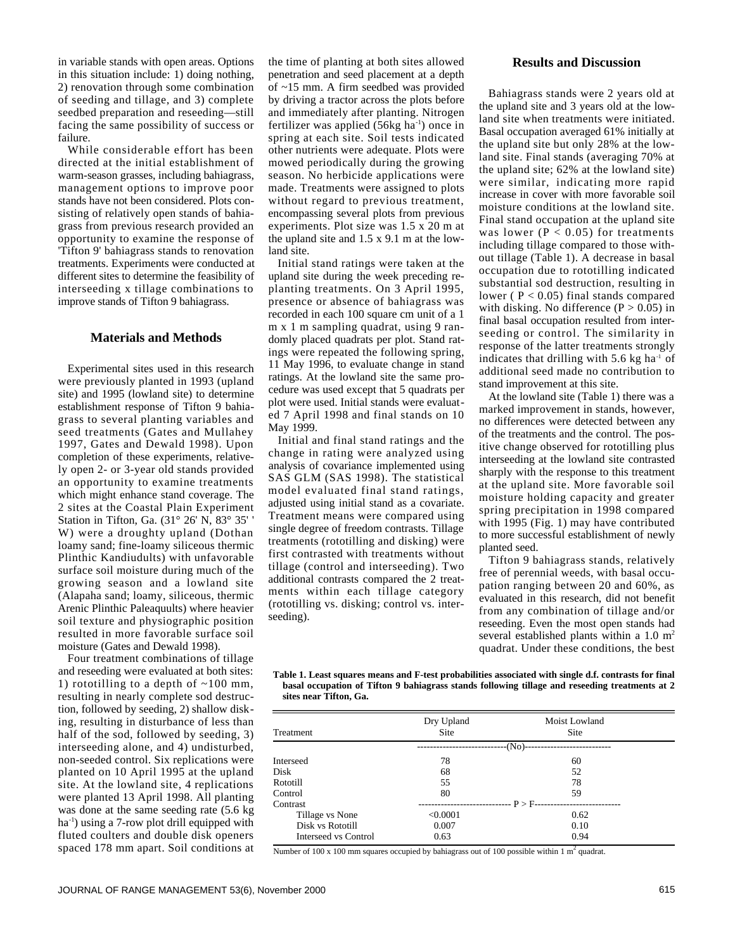in variable stands with open areas. Options in this situation include: 1) doing nothing, 2) renovation through some combination of seeding and tillage, and 3) complete seedbed preparation and reseeding—still facing the same possibility of success or failure.

While considerable effort has been directed at the initial establishment of warm-season grasses, including bahiagrass, management options to improve poor stands have not been considered. Plots consisting of relatively open stands of bahiagrass from previous research provided an opportunity to examine the response of 'Tifton 9' bahiagrass stands to renovation treatments. Experiments were conducted at different sites to determine the feasibility of interseeding x tillage combinations to improve stands of Tifton 9 bahiagrass.

## **Materials and Methods**

Experimental sites used in this research were previously planted in 1993 (upland site) and 1995 (lowland site) to determine establishment response of Tifton 9 bahiagrass to several planting variables and seed treatments (Gates and Mullahey 1997, Gates and Dewald 1998). Upon completion of these experiments, relatively open 2- or 3-year old stands provided an opportunity to examine treatments which might enhance stand coverage. The 2 sites at the Coastal Plain Experiment Station in Tifton, Ga. (31° 26' N, 83° 35' ' W) were a droughty upland (Dothan loamy sand; fine-loamy siliceous thermic Plinthic Kandiudults) with unfavorable surface soil moisture during much of the growing season and a lowland site (Alapaha sand; loamy, siliceous, thermic Arenic Plinthic Paleaquults) where heavier soil texture and physiographic position resulted in more favorable surface soil moisture (Gates and Dewald 1998).

Four treatment combinations of tillage and reseeding were evaluated at both sites: 1) rototilling to a depth of  $\sim$ 100 mm, resulting in nearly complete sod destruction, followed by seeding, 2) shallow disking, resulting in disturbance of less than half of the sod, followed by seeding, 3) interseeding alone, and 4) undisturbed, non-seeded control. Six replications were planted on 10 April 1995 at the upland site. At the lowland site, 4 replications were planted 13 April 1998. All planting was done at the same seeding rate (5.6 kg ha<sup>-1</sup>) using a 7-row plot drill equipped with fluted coulters and double disk openers spaced 178 mm apart. Soil conditions at the time of planting at both sites allowed penetration and seed placement at a depth of ~15 mm. A firm seedbed was provided by driving a tractor across the plots before and immediately after planting. Nitrogen fertilizer was applied  $(56kg \text{ ha}^{-1})$  once in spring at each site. Soil tests indicated other nutrients were adequate. Plots were mowed periodically during the growing season. No herbicide applications were made. Treatments were assigned to plots without regard to previous treatment, encompassing several plots from previous experiments. Plot size was 1.5 x 20 m at the upland site and 1.5 x 9.1 m at the lowland site.

Initial stand ratings were taken at the upland site during the week preceding replanting treatments. On 3 April 1995, presence or absence of bahiagrass was recorded in each 100 square cm unit of a 1 m x 1 m sampling quadrat, using 9 randomly placed quadrats per plot. Stand ratings were repeated the following spring, 11 May 1996, to evaluate change in stand ratings. At the lowland site the same procedure was used except that 5 quadrats per plot were used. Initial stands were evaluated 7 April 1998 and final stands on 10 May 1999.

Initial and final stand ratings and the change in rating were analyzed using analysis of covariance implemented using SAS GLM (SAS 1998). The statistical model evaluated final stand ratings, adjusted using initial stand as a covariate. Treatment means were compared using single degree of freedom contrasts. Tillage treatments (rototilling and disking) were first contrasted with treatments without tillage (control and interseeding). Two additional contrasts compared the 2 treatments within each tillage category (rototilling vs. disking; control vs. interseeding).

#### **Results and Discussion**

Bahiagrass stands were 2 years old at the upland site and 3 years old at the lowland site when treatments were initiated. Basal occupation averaged 61% initially at the upland site but only 28% at the lowland site. Final stands (averaging 70% at the upland site; 62% at the lowland site) were similar, indicating more rapid increase in cover with more favorable soil moisture conditions at the lowland site. Final stand occupation at the upland site was lower ( $P < 0.05$ ) for treatments including tillage compared to those without tillage (Table 1). A decrease in basal occupation due to rototilling indicated substantial sod destruction, resulting in lower ( $P < 0.05$ ) final stands compared with disking. No difference  $(P > 0.05)$  in final basal occupation resulted from interseeding or control. The similarity in response of the latter treatments strongly indicates that drilling with  $5.6$  kg ha<sup>-1</sup> of additional seed made no contribution to stand improvement at this site.

At the lowland site (Table 1) there was a marked improvement in stands, however, no differences were detected between any of the treatments and the control. The positive change observed for rototilling plus interseeding at the lowland site contrasted sharply with the response to this treatment at the upland site. More favorable soil moisture holding capacity and greater spring precipitation in 1998 compared with 1995 (Fig. 1) may have contributed to more successful establishment of newly planted seed.

Tifton 9 bahiagrass stands, relatively free of perennial weeds, with basal occupation ranging between 20 and 60%, as evaluated in this research, did not benefit from any combination of tillage and/or reseeding. Even the most open stands had several established plants within a  $1.0 \text{ m}^2$ quadrat. Under these conditions, the best

**Table 1. Least squares means and F-test probabilities associated with single d.f. contrasts for final basal occupation of Tifton 9 bahiagrass stands following tillage and reseeding treatments at 2 sites near Tifton, Ga.**

|                      | Dry Upland | Moist Lowland |
|----------------------|------------|---------------|
| <b>Treatment</b>     | Site       | <b>Site</b>   |
|                      | $-(No)$    |               |
| <b>Interseed</b>     | 78         | 60            |
| Disk                 | 68         | 52            |
| Rototill             | 55         | 78            |
| Control              | 80         | 59            |
| Contrast             | $P > F-$   |               |
| Tillage vs None      | < 0.0001   | 0.62          |
| Disk vs Rototill     | 0.007      | 0.10          |
| Interseed vs Control | 0.63       | 0.94          |

Number of 100 x 100 mm squares occupied by bahiagrass out of 100 possible within 1  $m<sup>2</sup>$  quadrat.